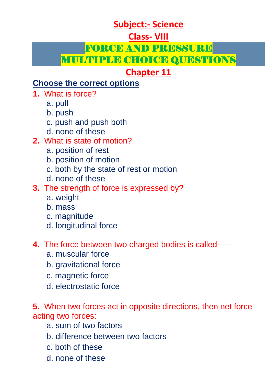# **Subject:- Science**

## **Class- VIII**

### FORCE AND PRESSURE

# MULTIPLE CHOICE QUESTIONS

# **Chapter 11**

## **Choose the correct options:**

- **1.** What is force?
	- a. pull
	- b. push
	- c. push and push both
	- d. none of these

# **2.** What is state of motion?

- a. position of rest
- b. position of motion
- c. both by the state of rest or motion
- d. none of these
- **3.** The strength of force is expressed by?
	- a. weight
	- b. mass
	- c. magnitude
	- d. longitudinal force
- **4.** The force between two charged bodies is called-----
	- a. muscular force
	- b. gravitational force
	- c. magnetic force
	- d. electrostatic force

**5.** When two forces act in opposite directions, then net force acting two forces:

- a. sum of two factors
- b. difference between two factors
- c. both of these
- d. none of these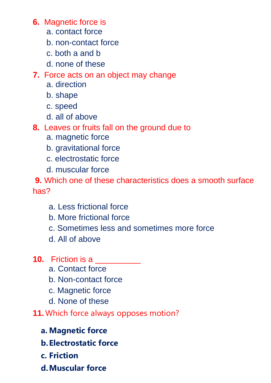**6.** Magnetic force is

- a. contact force
- b. non-contact force
- c. both a and b
- d. none of these

### **7.** Force acts on an object may change

- a. direction
- b. shape
- c. speed
- d. all of above

**8.** Leaves or fruits fall on the ground due to

- a. magnetic force
- b. gravitational force
- c. electrostatic force
- d. muscular force

**9.** Which one of these characteristics does a smooth surface has?

- a. Less frictional force
- b. More frictional force
- c. Sometimes less and sometimes more force
- d. All of above
- **10.** Friction is a
	- a. Contact force
	- b. Non-contact force
	- c. Magnetic force
	- d. None of these
- **11.** Which force always opposes motion?
	- **a. Magnetic force**
	- **b.Electrostatic force**
	- **c. Friction**
	- **d.Muscular force**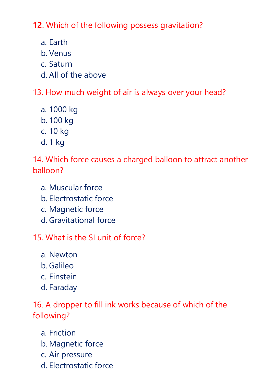**12**. Which of the following possess gravitation?

- a. Earth
- b. Venus
- c. Saturn
- d. All of the above

13. How much weight of air is always over your head?

- a. 1000 kg
- b. 100 kg
- c. 10 kg
- d. 1 kg

14. Which force causes a charged balloon to attract another balloon?

- a. Muscular force
- b. Electrostatic force
- c. Magnetic force
- d. Gravitational force

15. What is the SI unit of force?

- a. Newton
- b. Galileo
- c. Einstein
- d. Faraday

16. A dropper to fill ink works because of which of the following?

- a. Friction
- b. Magnetic force
- c. Air pressure
- d. Electrostatic force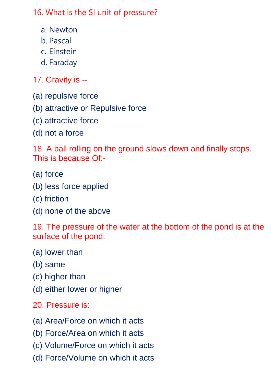16. What is the SI unit of pressure?

- a. Newton
- b. Pascal
- c. Einstein
- d. Faraday

17. Gravity is --

- (a) repulsive force
- (b) attractive or Repulsive force
- (c) attractive force
- (d) not a force

18. A ball rolling on the ground slows down and finally stops. This is because Of:-

- (a) force
- (b) less force applied
- (c) friction
- (d) none of the above

19. The pressure of the water at the bottom of the pond is at the surface of the pond:

- (a) lower than
- (b) same
- (c) higher than
- (d) either lower or higher
- 20. Pressure is:
- (a) Area/Force on which it acts
- (b) Force/Area on which it acts
- (c) Volume/Force on which it acts
- (d) Force/Volume on which it acts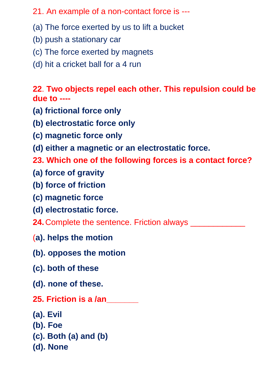#### 21. An example of a non-contact force is ---

- (a) The force exerted by us to lift a bucket
- (b) push a stationary car
- (c) The force exerted by magnets
- (d) hit a cricket ball for a 4 run

**22**. **Two objects repel each other. This repulsion could be due to ----**

- **(a) frictional force only**
- **(b) electrostatic force only**
- **(c) magnetic force only**
- **(d) either a magnetic or an electrostatic force.**
- **23. Which one of the following forces is a contact force?**
- **(a) force of gravity**
- **(b) force of friction**
- **(c) magnetic force**
- **(d) electrostatic force.**
- **24.**Complete the sentence. Friction always \_\_\_\_\_\_\_\_\_\_\_\_
- (**a). helps the motion**
- **(b). opposes the motion**
- **(c). both of these**
- **(d). none of these.**
- **25. Friction is a /an\_\_\_\_\_\_\_**
- **(a). Evil**
- **(b). Foe**
- **(c). Both (a) and (b)**
- **(d). None**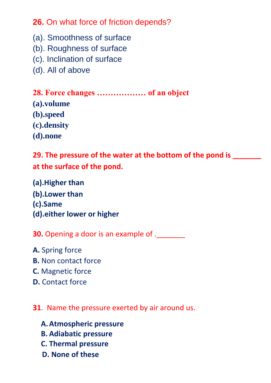**26.** On what force of friction depends?

- (a). Smoothness of surface
- (b). Roughness of surface
- (c). Inclination of surface
- (d). All of above

**28. Force changes ……………… of an object (a).volume (b).speed (c).density (d).none**

## **29. The pressure of the water at the bottom of the pond is \_\_\_\_\_\_\_ at the surface of the pond.**

**(a).Higher than (b).Lower than (c).Same (d).either lower or higher**

**30.** Opening a door is an example of .

- **A.** Spring force
- **B.** Non contact force
- **C.** Magnetic force
- **D.** Contact force

#### **31**. Name the pressure exerted by air around us.

- **A.Atmospheric pressure**
- **B. Adiabatic pressure**
- **C. Thermal pressure**
- **D. None of these**